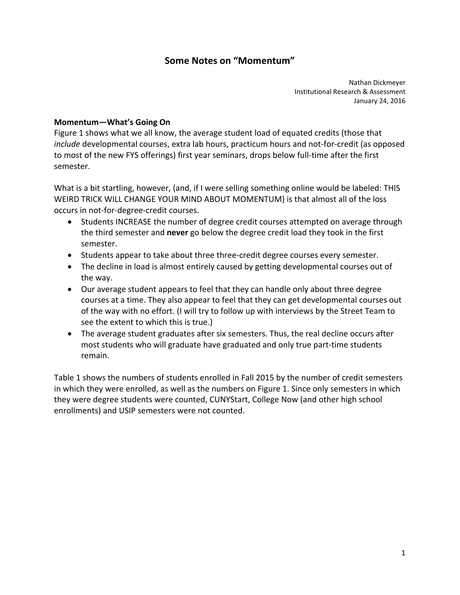# **Some Notes on "Momentum"**

 Nathan Dickmeyer Institutional Research & Assessment January 24, 2016

### **Momentum—What's Going On**

 Figure 1 shows what we all know, the average student load of equated credits (those that *include* developmental courses, extra lab hours, practicum hours and not‐for‐credit (as opposed to most of the new FYS offerings) first year seminars, drops below full‐time after the first semester.

 What is a bit startling, however, (and, if I were selling something online would be labeled: THIS WEIRD TRICK WILL CHANGE YOUR MIND ABOUT MOMENTUM) is that almost all of the loss occurs in not‐for‐degree‐credit courses.

- Students INCREASE the number of degree credit courses attempted on average through the third semester and **never** go below the degree credit load they took in the first semester.
- Students appear to take about three three-credit degree courses every semester.
- The decline in load is almost entirely caused by getting developmental courses out of the way.
- Our average student appears to feel that they can handle only about three degree courses at a time. They also appear to feel that they can get developmental courses out of the way with no effort. (I will try to follow up with interviews by the Street Team to see the extent to which this is true.)
- The average student graduates after six semesters. Thus, the real decline occurs after most students who will graduate have graduated and only true part‐time students remain.

 Table 1 shows the numbers of students enrolled in Fall 2015 by the number of credit semesters in which they were enrolled, as well as the numbers on Figure 1. Since only semesters in which they were degree students were counted, CUNYStart, College Now (and other high school enrollments) and USIP semesters were not counted.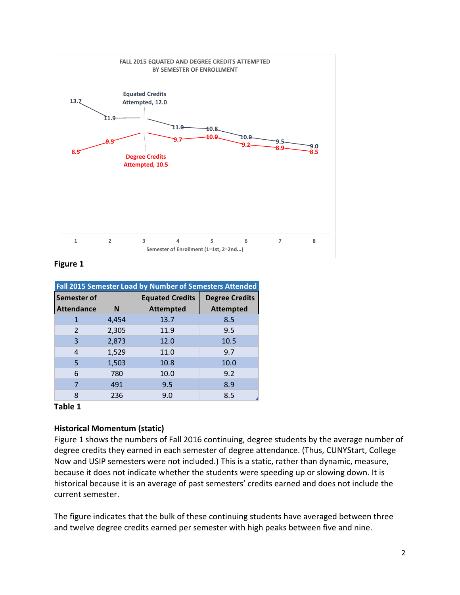

#### **Figure 1**

| Fall 2015 Semester Load by Number of Semesters Attended |       |                        |                       |
|---------------------------------------------------------|-------|------------------------|-----------------------|
| Semester of                                             |       | <b>Equated Credits</b> | <b>Degree Credits</b> |
| <b>Attendance</b>                                       | N     | <b>Attempted</b>       | <b>Attempted</b>      |
| 1                                                       | 4,454 | 13.7                   | 8.5                   |
| $\overline{2}$                                          | 2,305 | 11.9                   | 9.5                   |
| 3                                                       | 2,873 | 12.0                   | 10.5                  |
| 4                                                       | 1,529 | 11.0                   | 9.7                   |
| 5                                                       | 1,503 | 10.8                   | 10.0                  |
| 6                                                       | 780   | 10.0                   | 9.2                   |
| 7                                                       | 491   | 9.5                    | 8.9                   |
| 8                                                       | 236   | 9.0                    | 8.5                   |

#### **Table 1**

#### **Historical Momentum (static)**

 Figure 1 shows the numbers of Fall 2016 continuing, degree students by the average number of degree credits they earned in each semester of degree attendance. (Thus, CUNYStart, College Now and USIP semesters were not included.) This is a static, rather than dynamic, measure, because it does not indicate whether the students were speeding up or slowing down. It is historical because it is an average of past semesters' credits earned and does not include the current semester.

 The figure indicates that the bulk of these continuing students have averaged between three and twelve degree credits earned per semester with high peaks between five and nine.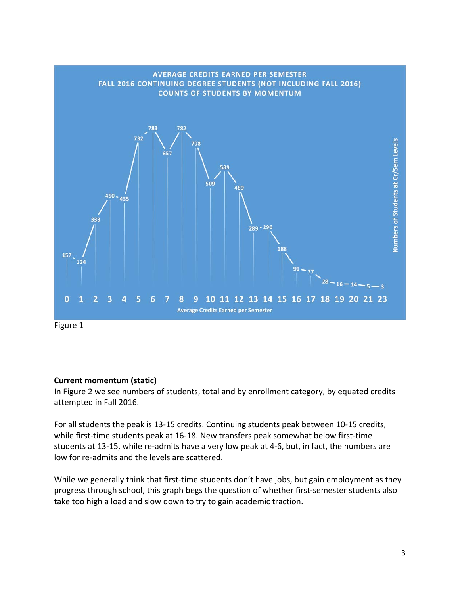

Figure 1

## **Current momentum (static)**

 In Figure 2 we see numbers of students, total and by enrollment category, by equated credits attempted in Fall 2016.

 For all students the peak is 13‐15 credits. Continuing students peak between 10‐15 credits, while first‐time students peak at 16‐18. New transfers peak somewhat below first‐time students at 13‐15, while re‐admits have a very low peak at 4‐6, but, in fact, the numbers are low for re‐admits and the levels are scattered.

 While we generally think that first‐time students don't have jobs, but gain employment as they progress through school, this graph begs the question of whether first‐semester students also take too high a load and slow down to try to gain academic traction.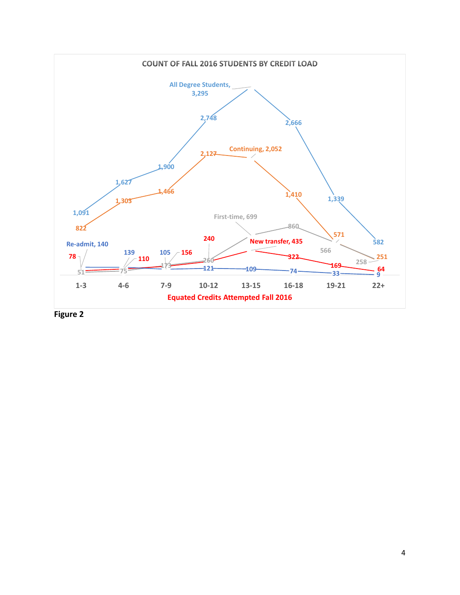

 **Figure 2**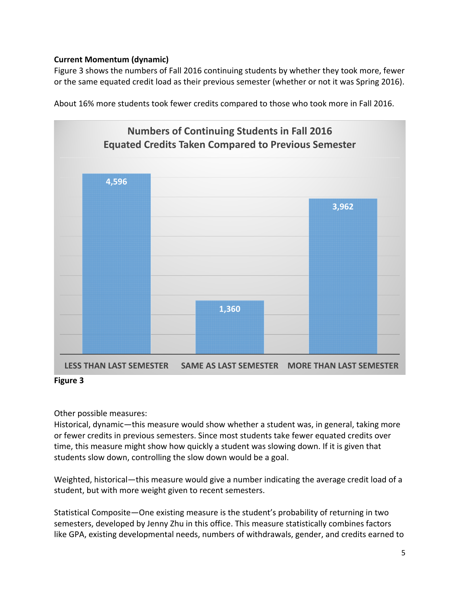## **Current Momentum (dynamic)**

 Figure 3 shows the numbers of Fall 2016 continuing students by whether they took more, fewer or the same equated credit load as their previous semester (whether or not it was Spring 2016).

About 16% more students took fewer credits compared to those who took more in Fall 2016.



 **Figure 3**

Other possible measures:

 Historical, dynamic—this measure would show whether a student was, in general, taking more or fewer credits in previous semesters. Since most students take fewer equated credits over time, this measure might show how quickly a student was slowing down. If it is given that students slow down, controlling the slow down would be a goal.

 Weighted, historical—this measure would give a number indicating the average credit load of a student, but with more weight given to recent semesters.

 Statistical Composite—One existing measure is the student's probability of returning in two semesters, developed by Jenny Zhu in this office. This measure statistically combines factors like GPA, existing developmental needs, numbers of withdrawals, gender, and credits earned to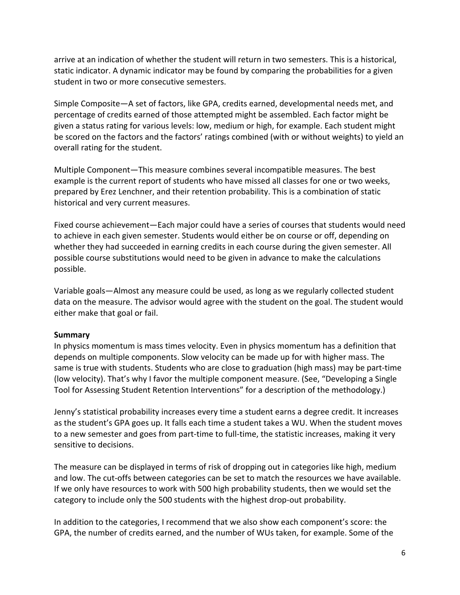arrive at an indication of whether the student will return in two semesters. This is a historical, static indicator. A dynamic indicator may be found by comparing the probabilities for a given student in two or more consecutive semesters.

 Simple Composite—A set of factors, like GPA, credits earned, developmental needs met, and percentage of credits earned of those attempted might be assembled. Each factor might be given a status rating for various levels: low, medium or high, for example. Each student might be scored on the factors and the factors' ratings combined (with or without weights) to yield an overall rating for the student.

 Multiple Component—This measure combines several incompatible measures. The best example is the current report of students who have missed all classes for one or two weeks, prepared by Erez Lenchner, and their retention probability. This is a combination of static historical and very current measures.

 Fixed course achievement—Each major could have a series of courses that students would need to achieve in each given semester. Students would either be on course or off, depending on whether they had succeeded in earning credits in each course during the given semester. All possible course substitutions would need to be given in advance to make the calculations possible.

 Variable goals—Almost any measure could be used, as long as we regularly collected student data on the measure. The advisor would agree with the student on the goal. The student would either make that goal or fail.

#### **Summary**

 In physics momentum is mass times velocity. Even in physics momentum has a definition that depends on multiple components. Slow velocity can be made up for with higher mass. The same is true with students. Students who are close to graduation (high mass) may be part‐time (low velocity). That's why I favor the multiple component measure. (See, "Developing a Single Tool for Assessing Student Retention Interventions" for a description of the methodology.)

 Jenny's statistical probability increases every time a student earns a degree credit. It increases as the student's GPA goes up. It falls each time a student takes a WU. When the student moves to a new semester and goes from part‐time to full‐time, the statistic increases, making it very sensitive to decisions.

 The measure can be displayed in terms of risk of dropping out in categories like high, medium and low. The cut-offs between categories can be set to match the resources we have available. If we only have resources to work with 500 high probability students, then we would set the category to include only the 500 students with the highest drop‐out probability.

 In addition to the categories, I recommend that we also show each component's score: the GPA, the number of credits earned, and the number of WUs taken, for example. Some of the